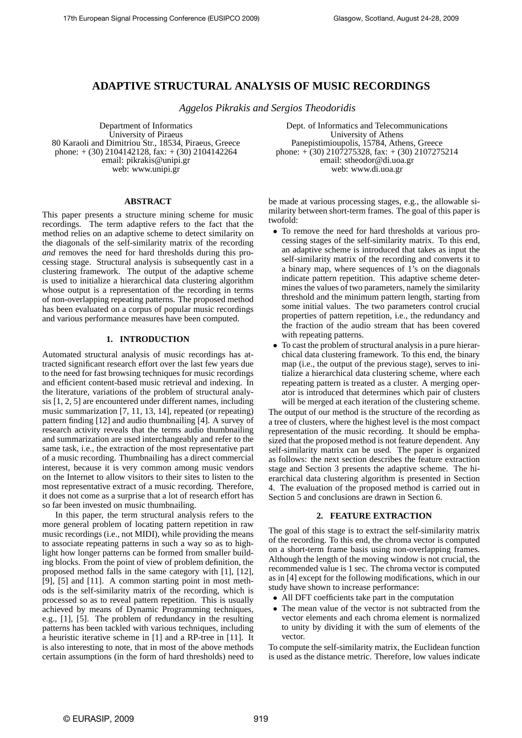# **ADAPTIVE STRUCTURAL ANALYSIS OF MUSIC RECORDINGS**

*Aggelos Pikrakis and Sergios Theodoridis*

Department of Informatics University of Piraeus 80 Karaoli and Dimitriou Str., 18534, Piraeus, Greece phone:  $+(30)$  2104142128, fax:  $+(30)$  2104142264 email: pikrakis@unipi.gr web: www.unipi.gr

## **ABSTRACT**

This paper presents a structure mining scheme for music recordings. The term adaptive refers to the fact that the method relies on an adaptive scheme to detect similarity on the diagonals of the self-similarity matrix of the recording *and* removes the need for hard thresholds during this processing stage. Structural analysis is subsequently cast in a clustering framework. The output of the adaptive scheme is used to initialize a hierarchical data clustering algorithm whose output is a representation of the recording in terms of non-overlapping repeating patterns. The proposed method has been evaluated on a corpus of popular music recordings and various performance measures have been computed.

# **1. INTRODUCTION**

Automated structural analysis of music recordings has attracted significant research effort over the last few years due to the need for fast browsing techniques for music recordings and efficient content-based music retrieval and indexing. In the literature, variations of the problem of structural analysis [1, 2, 5] are encountered under different names, including music summarization [7, 11, 13, 14], repeated (or repeating) pattern finding [12] and audio thumbnailing [4]. A survey of research activity reveals that the terms audio thumbnailing and summarization are used interchangeably and refer to the same task, i.e., the extraction of the most representative part of a music recording. Thumbnailing has a direct commercial interest, because it is very common among music vendors on the Internet to allow visitors to their sites to listen to the most representative extract of a music recording. Therefore, it does not come as a surprise that a lot of research effort has so far been invested on music thumbnailing.

In this paper, the term structural analysis refers to the more general problem of locating pattern repetition in raw music recordings (i.e., not MIDI), while providing the means to associate repeating patterns in such a way so as to highlight how longer patterns can be formed from smaller building blocks. From the point of view of problem definition, the proposed method falls in the same category with [1], [12], [9], [5] and [11]. A common starting point in most methods is the self-similarity matrix of the recording, which is processed so as to reveal pattern repetition. This is usually achieved by means of Dynamic Programming techniques, e.g., [1], [5]. The problem of redundancy in the resulting patterns has been tackled with various techniques, including a heuristic iterative scheme in [1] and a RP-tree in [11]. It is also interesting to note, that in most of the above methods certain assumptions (in the form of hard thresholds) need to

Dept. of Informatics and Telecommunications University of Athens Panepistimioupolis, 15784, Athens, Greece phone:  $+(30)$  2107275328, fax:  $+(30)$  2107275214 email: stheodor@di.uoa.gr web: www.di.uoa.gr

be made at various processing stages, e.g., the allowable similarity between short-term frames. The goal of this paper is twofold:

- To remove the need for hard thresholds at various processing stages of the self-similarity matrix. To this end, an adaptive scheme is introduced that takes as input the self-similarity matrix of the recording and converts it to a binary map, where sequences of 1's on the diagonals indicate pattern repetition. This adaptive scheme determines the values of two parameters, namely the similarity threshold and the minimum pattern length, starting from some initial values. The two parameters control crucial properties of pattern repetition, i.e., the redundancy and the fraction of the audio stream that has been covered with repeating patterns.
- To cast the problem of structural analysis in a pure hierarchical data clustering framework. To this end, the binary map (i.e., the output of the previous stage), serves to initialize a hierarchical data clustering scheme, where each repeating pattern is treated as a cluster. A merging operator is introduced that determines which pair of clusters will be merged at each iteration of the clustering scheme.

The output of our method is the structure of the recording as a tree of clusters, where the highest level is the most compact representation of the music recording. It should be emphasized that the proposed method is not feature dependent. Any self-similarity matrix can be used. The paper is organized as follows: the next section describes the feature extraction stage and Section 3 presents the adaptive scheme. The hierarchical data clustering algorithm is presented in Section 4. The evaluation of the proposed method is carried out in Section 5 and conclusions are drawn in Section 6.

## **2. FEATURE EXTRACTION**

The goal of this stage is to extract the self-similarity matrix of the recording. To this end, the chroma vector is computed on a short-term frame basis using non-overlapping frames. Although the length of the moving window is not crucial, the recommended value is 1 sec. The chroma vector is computed as in [4] except for the following modifications, which in our study have shown to increase performance:

- All DFT coefficients take part in the computation
- The mean value of the vector is not subtracted from the vector elements and each chroma element is normalized to unity by dividing it with the sum of elements of the vector.

To compute the self-similarity matrix, the Euclidean function is used as the distance metric. Therefore, low values indicate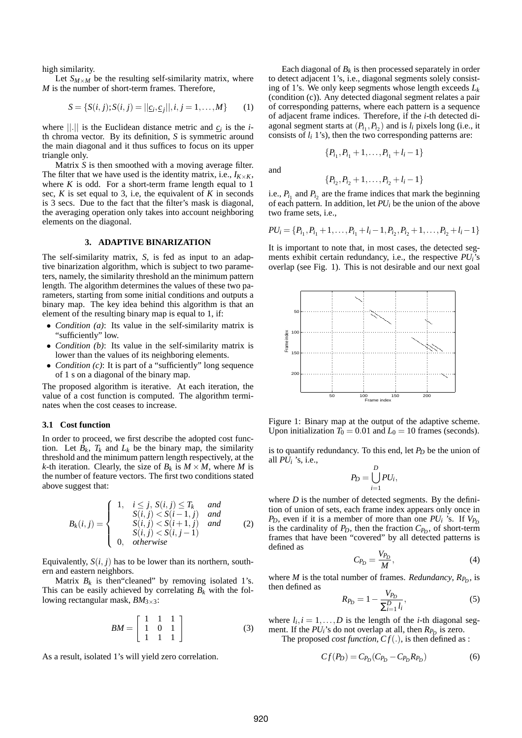high similarity.

Let  $S_{M \times M}$  be the resulting self-similarity matrix, where *M* is the number of short-term frames. Therefore,

$$
S = \{S(i, j); S(i, j) = ||\underline{c}_i, \underline{c}_j||, i, j = 1, ..., M\}
$$
 (1)

where  $||.||$  is the Euclidean distance metric and  $c_i$  is the *i*th chroma vector. By its definition, *S* is symmetric around the main diagonal and it thus suffices to focus on its upper triangle only.

Matrix *S* is then smoothed with a moving average filter. The filter that we have used is the identity matrix, i.e.,  $I_{K \times K}$ , where  $K$  is odd. For a short-term frame length equal to 1 sec, *K* is set equal to 3, i.e, the equivalent of *K* in seconds is 3 secs. Due to the fact that the filter's mask is diagonal, the averaging operation only takes into account neighboring elements on the diagonal.

#### **3. ADAPTIVE BINARIZATION**

The self-similarity matrix, *S*, is fed as input to an adaptive binarization algorithm, which is subject to two parameters, namely, the similarity threshold an the minimum pattern length. The algorithm determines the values of these two parameters, starting from some initial conditions and outputs a binary map. The key idea behind this algorithm is that an element of the resulting binary map is equal to 1, if:

- *Condition (a)*: Its value in the self-similarity matrix is "sufficiently" low.
- *Condition (b)*: Its value in the self-similarity matrix is lower than the values of its neighboring elements.
- *Condition (c)*: It is part of a "sufficiently" long sequence of 1 s on a diagonal of the binary map.

The proposed algorithm is iterative. At each iteration, the value of a cost function is computed. The algorithm terminates when the cost ceases to increase.

#### **3.1 Cost function**

In order to proceed, we first describe the adopted cost function. Let  $B_k$ ,  $T_k$  and  $L_k$  be the binary map, the similarity threshold and the minimum pattern length respectively, at the *k*-th iteration. Clearly, the size of  $B_k$  is  $M \times M$ , where M is the number of feature vectors. The first two conditions stated above suggest that:

$$
B_k(i,j) = \begin{cases} 1, & i \leq j, S(i,j) \leq T_k & and \\ S(i,j) < S(i-1,j) & and \\ S(i,j) < S(i+1,j) & and \\ S(i,j) < S(i,j-1) \\ 0, & otherwise \end{cases} \tag{2}
$$

Equivalently,  $S(i, j)$  has to be lower than its northern, southern and eastern neighbors.

Matrix  $B_k$  is then "cleaned" by removing isolated 1's. This can be easily achieved by correlating  $B_k$  with the following rectangular mask,  $BM_{3\times 3}$ :

$$
BM = \left[ \begin{array}{rrr} 1 & 1 & 1 \\ 1 & 0 & 1 \\ 1 & 1 & 1 \end{array} \right] \tag{3}
$$

As a result, isolated 1's will yield zero correlation.

Each diagonal of  $B_k$  is then processed separately in order to detect adjacent 1's, i.e., diagonal segments solely consisting of 1's. We only keep segments whose length exceeds *L<sup>k</sup>* (condition (c)). Any detected diagonal segment relates a pair of corresponding patterns, where each pattern is a sequence of adjacent frame indices. Therefore, if the *i*-th detected diagonal segment starts at  $(P_{i_1}, P_{i_2})$  and is  $l_i$  pixels long (i.e., it consists of  $l_i$  1's), then the two corresponding patterns are:

$$
\{P_{i_1}, P_{i_1}+1, \ldots, P_{i_1}+l_i-1\}
$$

and

$$
\{P_{i_2}, P_{i_2}+1, \ldots, P_{i_2}+l_i-1\}
$$

i.e.,  $P_{i_1}$  and  $P_{i_2}$  are the frame indices that mark the beginning of each pattern. In addition, let *PU<sup>i</sup>* be the union of the above two frame sets, i.e.,

$$
PU_i = \{P_{i_1}, P_{i_1}+1, \ldots, P_{i_1}+l_i-1, P_{i_2}, P_{i_2}+1, \ldots, P_{i_2}+l_i-1\}
$$

It is important to note that, in most cases, the detected segments exhibit certain redundancy, i.e., the respective *PUi*'s overlap (see Fig. 1). This is not desirable and our next goal



Figure 1: Binary map at the output of the adaptive scheme. Upon initialization  $T_0 = 0.01$  and  $L_0 = 10$  frames (seconds).

is to quantify redundancy. To this end, let *P<sup>D</sup>* be the union of all  $PU_i$  's, i.e.,

$$
P_D=\bigcup_{i=1}^D PU_i,
$$

where  $D$  is the number of detected segments. By the definition of union of sets, each frame index appears only once in *P*<sub>D</sub>, even if it is a member of more than one  $PU_i$  's. If  $V_{P_D}$ is the cardinality of  $P_D$ , then the fraction  $C_{P_D}$ , of short-term frames that have been "covered" by all detected patterns is defined as

$$
C_{P_D} = \frac{V_{P_D}}{M},\tag{4}
$$

where *M* is the total number of frames. *Redundancy*,  $R_{P_D}$ , is then defined as

$$
R_{P_D} = 1 - \frac{V_{P_D}}{\sum_{i=1}^{D} l_i},\tag{5}
$$

where  $l_i$ ,  $i = 1, ..., D$  is the length of the *i*-th diagonal segment. If the *PU*<sup>*i*</sup>'s do not overlap at all, then *R*<sub>*P*</sub><sup>*D*</sup> is zero.

The proposed *cost function*, *C f*(.), is then defined as :

$$
Cf(P_D) = C_{P_D}(C_{P_D} - C_{P_D}R_{P_D})\tag{6}
$$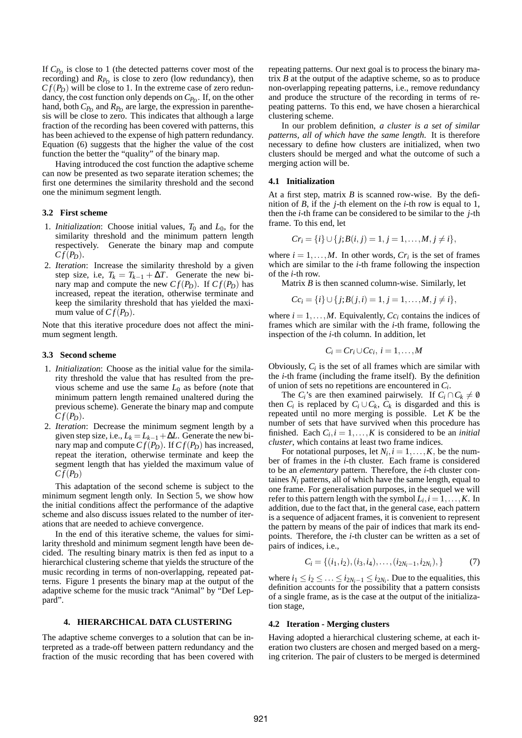If *CP<sup>D</sup>* is close to 1 (the detected patterns cover most of the recording) and  $R_{P_D}$  is close to zero (low redundancy), then  $C f(P_D)$  will be close to 1. In the extreme case of zero redundancy, the cost function only depends on *CP<sup>D</sup>* . If, on the other hand, both  $C_{P_D}$  and  $R_{P_D}$  are large, the expression in parenthesis will be close to zero. This indicates that although a large fraction of the recording has been covered with patterns, this has been achieved to the expense of high pattern redundancy. Equation (6) suggests that the higher the value of the cost function the better the "quality" of the binary map.

Having introduced the cost function the adaptive scheme can now be presented as two separate iteration schemes; the first one determines the similarity threshold and the second one the minimum segment length.

#### **3.2 First scheme**

- 1. *Initialization*: Choose initial values,  $T_0$  and  $L_0$ , for the similarity threshold and the minimum pattern length respectively. Generate the binary map and compute  $C f(P_D)$ .
- 2. *Iteration*: Increase the similarity threshold by a given step size, i.e,  $T_k = T_{k-1} + \Delta T$ . Generate the new binary map and compute the new  $C_f(P_D)$ . If  $C_f(P_D)$  has increased, repeat the iteration, otherwise terminate and keep the similarity threshold that has yielded the maximum value of  $C_f(P_D)$ .

Note that this iterative procedure does not affect the minimum segment length.

#### **3.3 Second scheme**

- 1. *Initialization*: Choose as the initial value for the similarity threshold the value that has resulted from the previous scheme and use the same *L*<sup>0</sup> as before (note that minimum pattern length remained unaltered during the previous scheme). Generate the binary map and compute  $C f(P_D)$ .
- 2. *Iteration*: Decrease the minimum segment length by a given step size, i.e.,  $L_k = L_{k-1} + \Delta L$ . Generate the new binary map and compute  $C_f(P_D)$ . If  $C_f(P_D)$  has increased, repeat the iteration, otherwise terminate and keep the segment length that has yielded the maximum value of  $C_f(P_D)$

This adaptation of the second scheme is subject to the minimum segment length only. In Section 5, we show how the initial conditions affect the performance of the adaptive scheme and also discuss issues related to the number of iterations that are needed to achieve convergence.

In the end of this iterative scheme, the values for similarity threshold and minimum segment length have been decided. The resulting binary matrix is then fed as input to a hierarchical clustering scheme that yields the structure of the music recording in terms of non-overlapping, repeated patterns. Figure 1 presents the binary map at the output of the adaptive scheme for the music track "Animal" by "Def Leppard".

## **4. HIERARCHICAL DATA CLUSTERING**

The adaptive scheme converges to a solution that can be interpreted as a trade-off between pattern redundancy and the fraction of the music recording that has been covered with repeating patterns. Our next goal is to process the binary matrix *B* at the output of the adaptive scheme, so as to produce non-overlapping repeating patterns, i.e., remove redundancy and produce the structure of the recording in terms of repeating patterns. To this end, we have chosen a hierarchical clustering scheme.

In our problem definition, *a cluster is a set of similar patterns, all of which have the same length*. It is therefore necessary to define how clusters are initialized, when two clusters should be merged and what the outcome of such a merging action will be.

#### **4.1 Initialization**

At a first step, matrix *B* is scanned row-wise. By the definition of *B*, if the *j*-th element on the *i*-th row is equal to 1, then the *i*-th frame can be considered to be similar to the *j*-th frame. To this end, let

$$
Cr_i = \{i\} \cup \{j; B(i, j) = 1, j = 1, \ldots, M, j \neq i\},\
$$

where  $i = 1, \ldots, M$ . In other words,  $Cr_i$  is the set of frames which are similar to the *i*-th frame following the inspection of the *i*-th row.

Matrix *B* is then scanned column-wise. Similarly, let

$$
Cc_i = \{i\} \cup \{j; B(j,i) = 1, j = 1, \ldots, M, j \neq i\},\
$$

where  $i = 1, \ldots, M$ . Equivalently,  $Cc_i$  contains the indices of frames which are similar with the *i*-th frame, following the inspection of the *i*-th column. In addition, let

$$
C_i = Cr_i \cup Cc_i, i=1,\ldots,M
$$

Obviously,  $C_i$  is the set of all frames which are similar with the *i*-th frame (including the frame itself). By the definition of union of sets no repetitions are encountered in *C<sup>i</sup>* .

The *C*<sup>*i*</sup>'s are then examined pairwisely. If  $C_i \cap C_k \neq \emptyset$ then  $C_i$  is replaced by  $C_i \cup C_k$ ,  $C_k$  is disgarded and this is repeated until no more merging is possible. Let *K* be the number of sets that have survived when this procedure has finished. Each  $C_i$ ,  $i = 1, ..., K$  is considered to be an *initial cluster*, which contains at least two frame indices.

For notational purposes, let  $N_i$ ,  $i = 1, ..., K$ , be the number of frames in the *i*-th cluster. Each frame is considered to be an *elementary* pattern. Therefore, the *i*-th cluster containes  $N_i$  patterns, all of which have the same length, equal to one frame. For generalisation purposes, in the sequel we will refer to this pattern length with the symbol  $L_i$ ,  $i = 1, \ldots, K$ . In addition, due to the fact that, in the general case, each pattern is a sequence of adjacent frames, it is convenient to represent the pattern by means of the pair of indices that mark its endpoints. Therefore, the *i*-th cluster can be written as a set of pairs of indices, i.e.,

$$
C_i = \{(i_1, i_2), (i_3, i_4), \dots, (i_{2N_i-1}, i_{2N_i}),\}
$$
(7)

where  $i_1 \leq i_2 \leq \ldots \leq i_{2N_i-1} \leq i_{2N_i}$ . Due to the equalities, this definition accounts for the possibility that a pattern consists of a single frame, as is the case at the output of the initialization stage,

#### **4.2 Iteration - Merging clusters**

Having adopted a hierarchical clustering scheme, at each iteration two clusters are chosen and merged based on a merging criterion. The pair of clusters to be merged is determined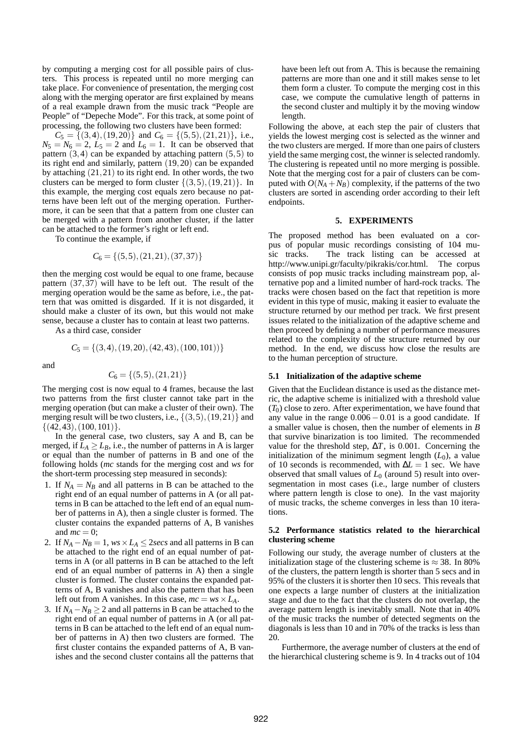by computing a merging cost for all possible pairs of clusters. This process is repeated until no more merging can take place. For convenience of presentation, the merging cost along with the merging operator are first explained by means of a real example drawn from the music track "People are People" of "Depeche Mode". For this track, at some point of processing, the following two clusters have been formed:

 $C_5 = \{(3,4), (19,20)\}\$ and  $C_6 = \{(5,5), (21,21)\}\$ , i.e.,  $N_5 = N_6 = 2$ ,  $L_5 = 2$  and  $L_6 = 1$ . It can be observed that pattern  $(3,4)$  can be expanded by attaching pattern  $(5,5)$  to its right end and similarly, pattern (19,20) can be expanded by attaching (21,21) to its right end. In other words, the two clusters can be merged to form cluster  $\{(3,5), (19,21)\}$ . In this example, the merging cost equals zero because no patterns have been left out of the merging operation. Furthermore, it can be seen that that a pattern from one cluster can be merged with a pattern from another cluster, if the latter can be attached to the former's right or left end.

To continue the example, if

$$
C_6 = \{ (5,5), (21,21), (37,37) \}
$$

then the merging cost would be equal to one frame, because pattern  $(37,37)$  will have to be left out. The result of the merging operation would be the same as before, i.e., the pattern that was omitted is disgarded. If it is not disgarded, it should make a cluster of its own, but this would not make sense, because a cluster has to contain at least two patterns.

As a third case, consider

$$
C_5 = \{(3,4), (19,20), (42,43), (100,101))\}
$$

and

$$
C_6 = \{(5,5), (21,21)\}
$$

The merging cost is now equal to 4 frames, because the last two patterns from the first cluster cannot take part in the merging operation (but can make a cluster of their own). The merging result will be two clusters, i.e.,  $\{(3,5), (19,21)\}\$  and  $\{(42, 43), (100, 101)\}.$ 

In the general case, two clusters, say A and B, can be merged, if  $\overline{L}_A \geq L_B$ , i.e., the number of patterns in A is larger or equal than the number of patterns in B and one of the following holds (*mc* stands for the merging cost and *ws* for the short-term processing step measured in seconds):

- 1. If  $N_A = N_B$  and all patterns in B can be attached to the right end of an equal number of patterns in A (or all patterns in B can be attached to the left end of an equal number of patterns in A), then a single cluster is formed. The cluster contains the expanded patterns of A, B vanishes and  $mc = 0$ ;
- 2. If  $N_A N_B = 1$ ,  $ws \times L_A \leq 2$ *secs* and all patterns in B can be attached to the right end of an equal number of patterns in A (or all patterns in B can be attached to the left end of an equal number of patterns in A) then a single cluster is formed. The cluster contains the expanded patterns of A, B vanishes and also the pattern that has been left out from A vanishes. In this case,  $mc = ws \times L_A$ .
- 3. If  $N_A N_B > 2$  and all patterns in B can be attached to the right end of an equal number of patterns in A (or all patterns in B can be attached to the left end of an equal number of patterns in A) then two clusters are formed. The first cluster contains the expanded patterns of A, B vanishes and the second cluster contains all the patterns that

have been left out from A. This is because the remaining patterns are more than one and it still makes sense to let them form a cluster. To compute the merging cost in this case, we compute the cumulative length of patterns in the second cluster and multiply it by the moving window length.

Following the above, at each step the pair of clusters that yields the lowest merging cost is selected as the winner and the two clusters are merged. If more than one pairs of clusters yield the same merging cost, the winner is selected randomly. The clustering is repeated until no more merging is possible. Note that the merging cost for a pair of clusters can be computed with  $O(N_A + N_B)$  complexity, if the patterns of the two clusters are sorted in ascending order according to their left endpoints.

#### **5. EXPERIMENTS**

The proposed method has been evaluated on a corpus of popular music recordings consisting of 104 music tracks. The track listing can be accessed at http://www.unipi.gr/faculty/pikrakis/cor.html. The corpus consists of pop music tracks including mainstream pop, alternative pop and a limited number of hard-rock tracks. The tracks were chosen based on the fact that repetition is more evident in this type of music, making it easier to evaluate the structure returned by our method per track. We first present issues related to the initialization of the adaptive scheme and then proceed by defining a number of performance measures related to the complexity of the structure returned by our method. In the end, we discuss how close the results are to the human perception of structure.

#### **5.1 Initialization of the adaptive scheme**

Given that the Euclidean distance is used as the distance metric, the adaptive scheme is initialized with a threshold value  $(T_0)$  close to zero. After experimentation, we have found that any value in the range  $0.006 - 0.01$  is a good candidate. If a smaller value is chosen, then the number of elements in *B* that survive binarization is too limited. The recommended value for the threshold step,  $\Delta T$ , is 0.001. Concerning the initialization of the minimum segment length  $(L_0)$ , a value of 10 seconds is recommended, with ∆*L* = 1 sec. We have observed that small values of  $L_0$  (around 5) result into oversegmentation in most cases (i.e., large number of clusters where pattern length is close to one). In the vast majority of music tracks, the scheme converges in less than 10 iterations.

## **5.2 Performance statistics related to the hierarchical clustering scheme**

Following our study, the average number of clusters at the initialization stage of the clustering scheme is  $\approx$  38. In 80% of the clusters, the pattern length is shorter than 5 secs and in 95% of the clusters it is shorter then 10 secs. This reveals that one expects a large number of clusters at the initialization stage and due to the fact that the clusters do not overlap, the average pattern length is inevitably small. Note that in 40% of the music tracks the number of detected segments on the diagonals is less than 10 and in 70% of the tracks is less than 20.

Furthermore, the average number of clusters at the end of the hierarchical clustering scheme is 9. In 4 tracks out of 104